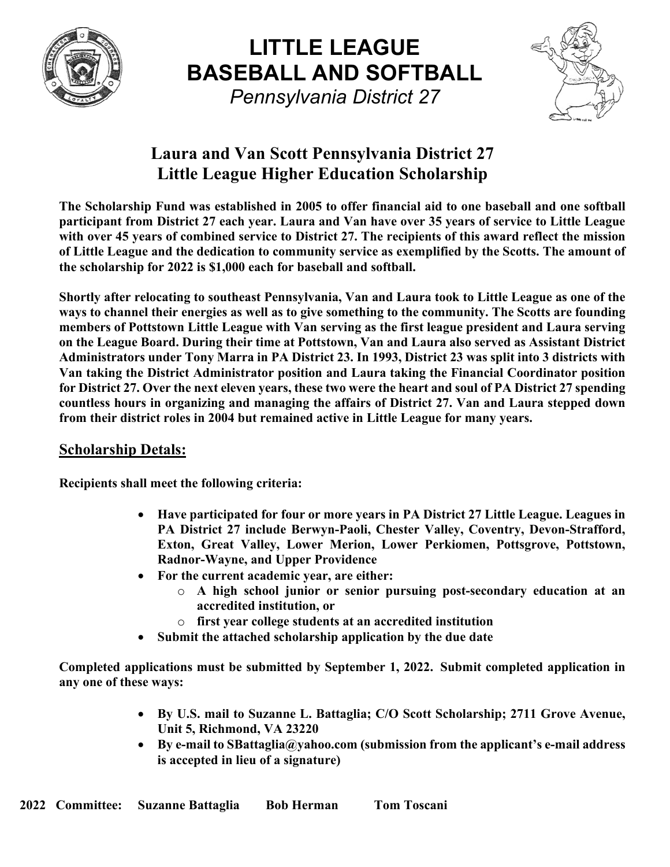

**LITTLE LEAGUE BASEBALL AND SOFTBALL**   *Pennsylvania District 27* 



### **Laura and Van Scott Pennsylvania District 27 Little League Higher Education Scholarship**

**The Scholarship Fund was established in 2005 to offer financial aid to one baseball and one softball participant from District 27 each year. Laura and Van have over 35 years of service to Little League with over 45 years of combined service to District 27. The recipients of this award reflect the mission of Little League and the dedication to community service as exemplified by the Scotts. The amount of the scholarship for 2022 is \$1,000 each for baseball and softball.** 

**Shortly after relocating to southeast Pennsylvania, Van and Laura took to Little League as one of the ways to channel their energies as well as to give something to the community. The Scotts are founding members of Pottstown Little League with Van serving as the first league president and Laura serving on the League Board. During their time at Pottstown, Van and Laura also served as Assistant District Administrators under Tony Marra in PA District 23. In 1993, District 23 was split into 3 districts with Van taking the District Administrator position and Laura taking the Financial Coordinator position for District 27. Over the next eleven years, these two were the heart and soul of PA District 27 spending countless hours in organizing and managing the affairs of District 27. Van and Laura stepped down from their district roles in 2004 but remained active in Little League for many years.** 

#### **Scholarship Detals:**

**Recipients shall meet the following criteria:** 

- **Have participated for four or more years in PA District 27 Little League. Leagues in PA District 27 include Berwyn-Paoli, Chester Valley, Coventry, Devon-Strafford, Exton, Great Valley, Lower Merion, Lower Perkiomen, Pottsgrove, Pottstown, Radnor-Wayne, and Upper Providence**
- **For the current academic year, are either:** 
	- o **A high school junior or senior pursuing post-secondary education at an accredited institution, or**
	- o **first year college students at an accredited institution**
- **Submit the attached scholarship application by the due date**

**Completed applications must be submitted by September 1, 2022. Submit completed application in any one of these ways:** 

- **By U.S. mail to Suzanne L. Battaglia; C/O Scott Scholarship; 2711 Grove Avenue, Unit 5, Richmond, VA 23220**
- **By e-mail to SBattaglia@yahoo.com (submission from the applicant's e-mail address is accepted in lieu of a signature)**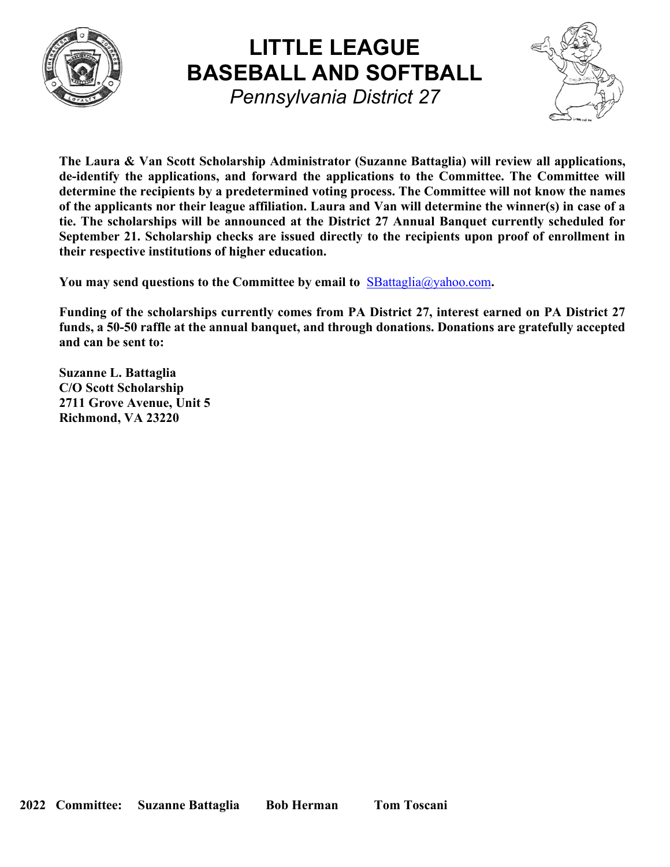

## **LITTLE LEAGUE BASEBALL AND SOFTBALL**   *Pennsylvania District 27*



**The Laura & Van Scott Scholarship Administrator (Suzanne Battaglia) will review all applications, de-identify the applications, and forward the applications to the Committee. The Committee will determine the recipients by a predetermined voting process. The Committee will not know the names of the applicants nor their league affiliation. Laura and Van will determine the winner(s) in case of a tie. The scholarships will be announced at the District 27 Annual Banquet currently scheduled for September 21. Scholarship checks are issued directly to the recipients upon proof of enrollment in their respective institutions of higher education.** 

You may send questions to the Committee by email to **SBattaglia@yahoo.com**.

**Funding of the scholarships currently comes from PA District 27, interest earned on PA District 27 funds, a 50-50 raffle at the annual banquet, and through donations. Donations are gratefully accepted and can be sent to:** 

**Suzanne L. Battaglia C/O Scott Scholarship 2711 Grove Avenue, Unit 5 Richmond, VA 23220**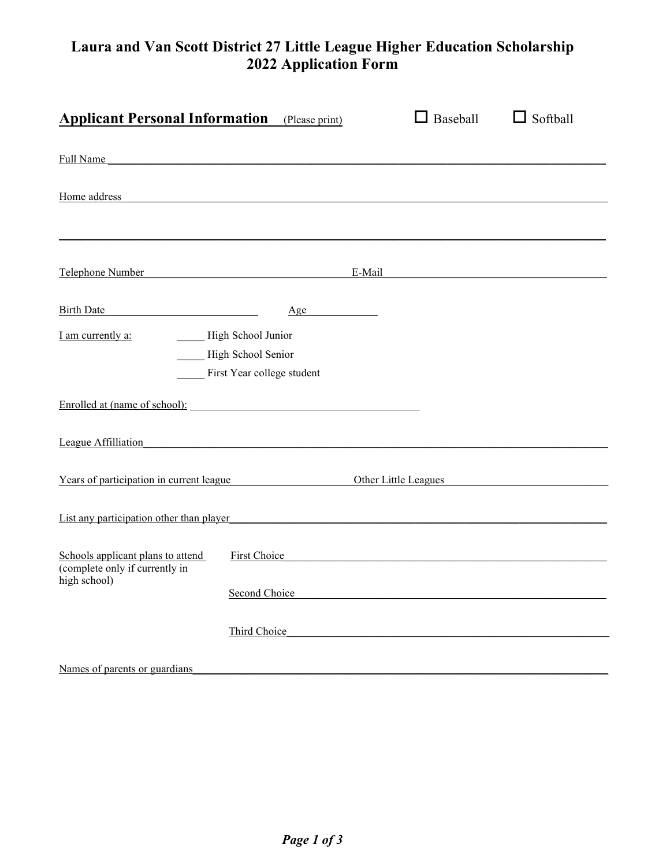#### **Laura and Van Scott District 27 Little League Higher Education Scholarship 2022 Application Form**

| <b>Applicant Personal Information</b> (Please print)                                                                                                                                                                                 |                                                                                                          |                      | $\Box$ Baseball | $\Box$ Softball |
|--------------------------------------------------------------------------------------------------------------------------------------------------------------------------------------------------------------------------------------|----------------------------------------------------------------------------------------------------------|----------------------|-----------------|-----------------|
| Full Name                                                                                                                                                                                                                            |                                                                                                          |                      |                 |                 |
| Home address <b>Executive Contract Contract Contract Contract Contract Contract Contract Contract Contract Contract Contract Contract Contract Contract Contract Contract Contract Contract Contract Contract Contract Contract </b> |                                                                                                          |                      |                 |                 |
| Telephone Number Number                                                                                                                                                                                                              |                                                                                                          | E-Mail               |                 |                 |
| Birth Date                                                                                                                                                                                                                           | Age                                                                                                      |                      |                 |                 |
| I am currently a:                                                                                                                                                                                                                    | High School Junior<br>High School Senior<br>First Year college student                                   |                      |                 |                 |
| Enrolled at (name of school):                                                                                                                                                                                                        |                                                                                                          |                      |                 |                 |
| League Affilliation                                                                                                                                                                                                                  |                                                                                                          |                      |                 |                 |
| Years of participation in current league                                                                                                                                                                                             |                                                                                                          | Other Little Leagues |                 |                 |
| List any participation other than player                                                                                                                                                                                             |                                                                                                          |                      |                 |                 |
| Schools applicant plans to attend<br>(complete only if currently in<br>high school)                                                                                                                                                  | First Choice <b>Example 2 Example 2 C</b>                                                                |                      |                 |                 |
|                                                                                                                                                                                                                                      | Second Choice <b>Second Choice Second Choice Second Choice Second Choice Second Choice Second</b> Choice |                      |                 |                 |
|                                                                                                                                                                                                                                      | Third Choice                                                                                             |                      |                 |                 |
| Names of parents or guardians                                                                                                                                                                                                        |                                                                                                          |                      |                 |                 |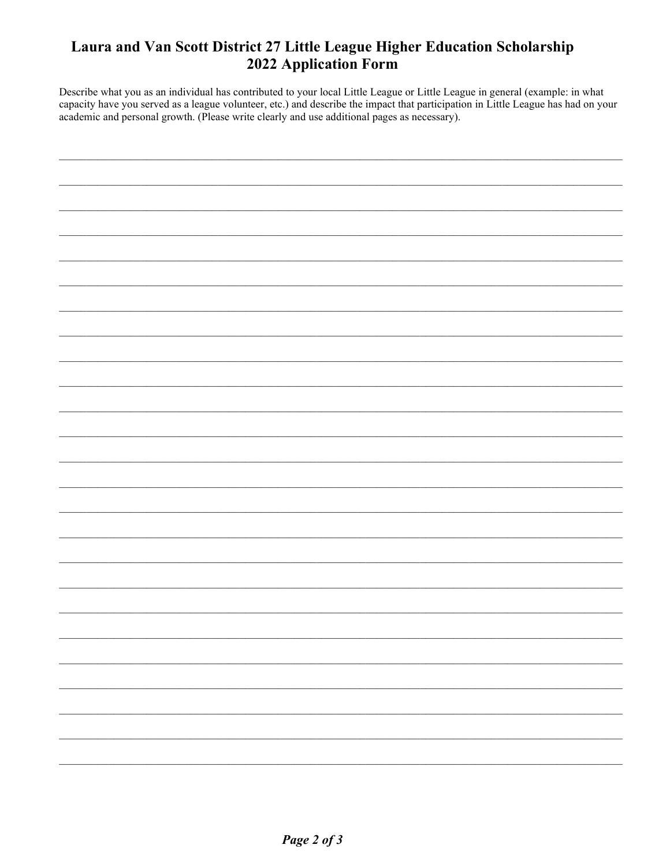#### Laura and Van Scott District 27 Little League Higher Education Scholarship 2022 Application Form

Describe what you as an individual has contributed to your local Little League or Little League in general (example: in what capacity have you served as a league volunteer, etc.) and describe the impact that participation in Little League has had on your academic and personal growth. (Please write clearly and use additional pages as necessary).